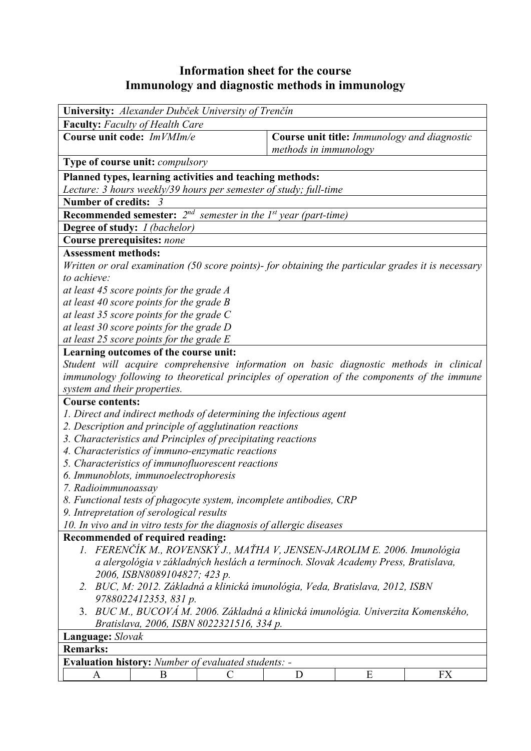## **Information sheet for the course Immunology and diagnostic methods in immunology**

| University: Alexander Dubček University of Trenčín                                                 |                                                                       |   |           |  |  |  |  |
|----------------------------------------------------------------------------------------------------|-----------------------------------------------------------------------|---|-----------|--|--|--|--|
| <b>Faculty:</b> Faculty of Health Care                                                             |                                                                       |   |           |  |  |  |  |
| Course unit code: ImVMIm/e                                                                         | Course unit title: Immunology and diagnostic<br>methods in immunology |   |           |  |  |  |  |
| <b>Type of course unit:</b> <i>compulsory</i>                                                      |                                                                       |   |           |  |  |  |  |
| Planned types, learning activities and teaching methods:                                           |                                                                       |   |           |  |  |  |  |
| Lecture: 3 hours weekly/39 hours per semester of study; full-time                                  |                                                                       |   |           |  |  |  |  |
| <b>Number of credits:</b><br>-3                                                                    |                                                                       |   |           |  |  |  |  |
| <b>Recommended semester:</b> $2^{nd}$ semester in the 1st year (part-time)                         |                                                                       |   |           |  |  |  |  |
| <b>Degree of study:</b> <i>I (bachelor)</i>                                                        |                                                                       |   |           |  |  |  |  |
| <b>Course prerequisites: none</b>                                                                  |                                                                       |   |           |  |  |  |  |
| <b>Assessment methods:</b>                                                                         |                                                                       |   |           |  |  |  |  |
| Written or oral examination (50 score points)- for obtaining the particular grades it is necessary |                                                                       |   |           |  |  |  |  |
| to achieve:                                                                                        |                                                                       |   |           |  |  |  |  |
| at least 45 score points for the grade A                                                           |                                                                       |   |           |  |  |  |  |
| at least 40 score points for the grade $B$                                                         |                                                                       |   |           |  |  |  |  |
| at least 35 score points for the grade $C$                                                         |                                                                       |   |           |  |  |  |  |
| at least 30 score points for the grade D                                                           |                                                                       |   |           |  |  |  |  |
| at least 25 score points for the grade $E$                                                         |                                                                       |   |           |  |  |  |  |
| Learning outcomes of the course unit:                                                              |                                                                       |   |           |  |  |  |  |
| Student will acquire comprehensive information on basic diagnostic methods in clinical             |                                                                       |   |           |  |  |  |  |
| immunology following to theoretical principles of operation of the components of the immune        |                                                                       |   |           |  |  |  |  |
| system and their properties.                                                                       |                                                                       |   |           |  |  |  |  |
| <b>Course contents:</b>                                                                            |                                                                       |   |           |  |  |  |  |
| 1. Direct and indirect methods of determining the infectious agent                                 |                                                                       |   |           |  |  |  |  |
| 2. Description and principle of agglutination reactions                                            |                                                                       |   |           |  |  |  |  |
| 3. Characteristics and Principles of precipitating reactions                                       |                                                                       |   |           |  |  |  |  |
| 4. Characteristics of immuno-enzymatic reactions                                                   |                                                                       |   |           |  |  |  |  |
| 5. Characteristics of immunofluorescent reactions                                                  |                                                                       |   |           |  |  |  |  |
| 6. Immunoblots, immunoelectrophoresis                                                              |                                                                       |   |           |  |  |  |  |
| 7. Radioimmunoassay                                                                                |                                                                       |   |           |  |  |  |  |
| 8. Functional tests of phagocyte system, incomplete antibodies, CRP                                |                                                                       |   |           |  |  |  |  |
| 9. Intrepretation of serological results                                                           |                                                                       |   |           |  |  |  |  |
| 10. In vivo and in vitro tests for the diagnosis of allergic diseases                              |                                                                       |   |           |  |  |  |  |
| Recommended of required reading:                                                                   |                                                                       |   |           |  |  |  |  |
| 1. FERENČÍK M., ROVENSKÝ J., MAŤHA V, JENSEN-JAROLIM E. 2006. Imunológia                           |                                                                       |   |           |  |  |  |  |
| a alergológia v základných heslách a terminoch. Slovak Academy Press, Bratislava,                  |                                                                       |   |           |  |  |  |  |
| 2006, ISBN8089104827; 423 p.                                                                       |                                                                       |   |           |  |  |  |  |
| 2. BUC, M: 2012. Základná a klinická imunológia, Veda, Bratislava, 2012, ISBN                      |                                                                       |   |           |  |  |  |  |
| 9788022412353, 831 p.                                                                              |                                                                       |   |           |  |  |  |  |
| 3. BUC M., BUCOVÁ M. 2006. Základná a klinická imunológia. Univerzita Komenského,                  |                                                                       |   |           |  |  |  |  |
| Bratislava, 2006, ISBN 8022321516, 334 p.                                                          |                                                                       |   |           |  |  |  |  |
| Language: Slovak                                                                                   |                                                                       |   |           |  |  |  |  |
| <b>Remarks:</b>                                                                                    |                                                                       |   |           |  |  |  |  |
| <b>Evaluation history:</b> Number of evaluated students: -                                         |                                                                       |   |           |  |  |  |  |
| B<br>C<br>A                                                                                        | D                                                                     | E | <b>FX</b> |  |  |  |  |